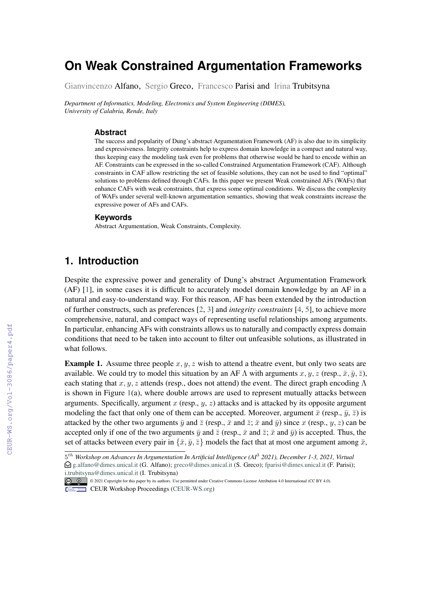# **On Weak Constrained Argumentation Frameworks**

Gianvincenzo Alfano, Sergio Greco, Francesco Parisi and Irina Trubitsyna

*Department of Informatics, Modeling, Electronics and System Engineering (DIMES), University of Calabria, Rende, Italy*

#### **Abstract**

The success and popularity of Dung's abstract Argumentation Framework (AF) is also due to its simplicity and expressiveness. Integrity constraints help to express domain knowledge in a compact and natural way, thus keeping easy the modeling task even for problems that otherwise would be hard to encode within an AF. Constraints can be expressed in the so-called Constrained Argumentation Framework (CAF). Although constraints in CAF allow restricting the set of feasible solutions, they can not be used to find "optimal" solutions to problems defined through CAFs. In this paper we present Weak constrained AFs (WAFs) that enhance CAFs with weak constraints, that express some optimal conditions. We discuss the complexity of WAFs under several well-known argumentation semantics, showing that weak constraints increase the expressive power of AFs and CAFs.

#### **Keywords**

Abstract Argumentation, Weak Constraints, Complexity.

# **1. Introduction**

Despite the expressive power and generality of Dung's abstract Argumentation Framework (AF) [\[1\]](#page--1-0), in some cases it is difficult to accurately model domain knowledge by an AF in a natural and easy-to-understand way. For this reason, AF has been extended by the introduction of further constructs, such as preferences [\[2,](#page--1-1) [3\]](#page--1-2) and *integrity constraints* [\[4,](#page--1-3) [5\]](#page--1-4), to achieve more comprehensive, natural, and compact ways of representing useful relationships among arguments. In particular, enhancing AFs with constraints allows us to naturally and compactly express domain conditions that need to be taken into account to filter out unfeasible solutions, as illustrated in what follows.

**Example 1.** Assume three people  $x, y, z$  wish to attend a theatre event, but only two seats are available. We could try to model this situation by an AF  $\Lambda$  with arguments  $x, y, z$  (resp.,  $\bar{x}, \bar{y}, \bar{z}$ ), each stating that x, y, z attends (resp., does not attend) the event. The direct graph encoding  $\Lambda$ is shown in Figure [1\(](#page--1-5)a), where double arrows are used to represent mutually attacks between arguments. Specifically, argument  $x$  (resp.,  $y$ ,  $z$ ) attacks and is attacked by its opposite argument modeling the fact that only one of them can be accepted. Moreover, argument  $\bar{x}$  (resp.,  $\bar{y}$ ,  $\bar{z}$ ) is attacked by the other two arguments  $\bar{y}$  and  $\bar{z}$  (resp.,  $\bar{x}$  and  $\bar{z}$ ;  $\bar{x}$  and  $\bar{y}$ ) since x (resp.,  $y, z$ ) can be accepted only if one of the two arguments  $\bar{y}$  and  $\bar{z}$  (resp.,  $\bar{x}$  and  $\bar{z}$ ;  $\bar{x}$  and  $\bar{y}$ ) is accepted. Thus, the set of attacks between every pair in  $\{\bar{x}, \bar{y}, \bar{z}\}$  models the fact that at most one argument among  $\bar{x}$ ,

<sup>5</sup> ℎ *Workshop on Advances In Argumentation In Artificial Intelligence (AI*<sup>3</sup> *2021), December 1-3, 2021, Virtual*  $\bigcirc$  [g.alfano@dimes.unical.it](mailto:g.alfano@dimes.unical.it) (G. Alfano); [greco@dimes.unical.it](mailto:greco@dimes.unical.it) (S. Greco); [fparisi@dimes.unical.it](mailto:fparisi@dimes.unical.it) (F. Parisi); [i.trubitsyna@dimes.unical.it](mailto:i.trubitsyna@dimes.unical.it) (I. Trubitsyna)

<sup>© &</sup>lt;sup>0</sup> © 2021 Copyright for this paper by its authors. Use permitted under Creative Commons License Attribution 4.0 International (CC BY 4.0).

CEUR Workshop [Proceedings](http://ceur-ws.org) [\(CEUR-WS.org\)](http://ceur-ws.org)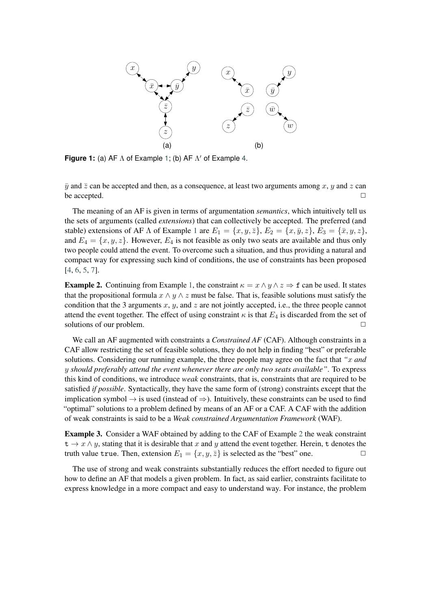<span id="page-1-1"></span>

**Figure 1:** (a) AF  $\Lambda$  of Example [1;](#page--1-6) (b) AF  $\Lambda'$  of Example [4.](#page-2-0)

 $\bar{y}$  and  $\bar{z}$  can be accepted and then, as a consequence, at least two arguments among x, y and z can be accepted. □

The meaning of an AF is given in terms of argumentation *semantics*, which intuitively tell us the sets of arguments (called *extensions*) that can collectively be accepted. The preferred (and stable) extensions of AF  $\Lambda$  of Example [1](#page--1-6) are  $E_1 = \{x, y, \overline{z}\}, E_2 = \{x, \overline{y}, z\}, E_3 = \{\overline{x}, y, z\},$ and  $E_4 = \{x, y, z\}$ . However,  $E_4$  is not feasible as only two seats are available and thus only two people could attend the event. To overcome such a situation, and thus providing a natural and compact way for expressing such kind of conditions, the use of constraints has been proposed [\[4,](#page-10-0) [6,](#page-10-1) [5,](#page-10-2) [7\]](#page-10-3).

<span id="page-1-0"></span>**Example 2.** Continuing from Example [1,](#page--1-6) the constraint  $\kappa = x \wedge y \wedge z \Rightarrow f$  can be used. It states that the propositional formula  $x \wedge y \wedge z$  must be false. That is, feasible solutions must satisfy the condition that the 3 arguments  $x$ ,  $y$ , and  $z$  are not jointly accepted, i.e., the three people cannot attend the event together. The effect of using constraint  $\kappa$  is that  $E_4$  is discarded from the set of solutions of our problem.  $□$ 

We call an AF augmented with constraints a *Constrained AF* (CAF). Although constraints in a CAF allow restricting the set of feasible solutions, they do not help in finding "best" or preferable solutions. Considering our running example, the three people may agree on the fact that *" and should preferably attend the event whenever there are only two seats available"*. To express this kind of conditions, we introduce *weak* constraints, that is, constraints that are required to be satisfied *if possible*. Syntactically, they have the same form of (strong) constraints except that the implication symbol  $\rightarrow$  is used (instead of  $\Rightarrow$ ). Intuitively, these constraints can be used to find "optimal" solutions to a problem defined by means of an AF or a CAF. A CAF with the addition of weak constraints is said to be a *Weak constrained Argumentation Framework* (WAF).

Example 3. Consider a WAF obtained by adding to the CAF of Example [2](#page-1-0) the weak constraint  $t \to x \wedge y$ , stating that it is desirable that x and y attend the event together. Herein, t denotes the truth value true. Then, extension  $E_1 = \{x, y, \overline{z}\}$  is selected as the "best" one.

The use of strong and weak constraints substantially reduces the effort needed to figure out how to define an AF that models a given problem. In fact, as said earlier, constraints facilitate to express knowledge in a more compact and easy to understand way. For instance, the problem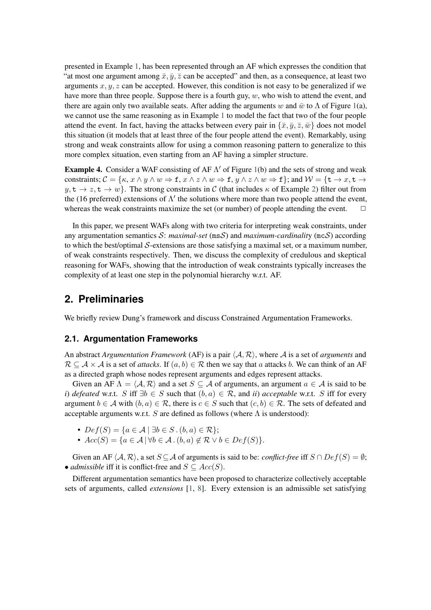presented in Example [1,](#page--1-6) has been represented through an AF which expresses the condition that "at most one argument among  $\bar{x}, \bar{y}, \bar{z}$  can be accepted" and then, as a consequence, at least two arguments  $x, y, z$  can be accepted. However, this condition is not easy to be generalized if we have more than three people. Suppose there is a fourth guy,  $w$ , who wish to attend the event, and there are again only two available seats. After adding the arguments w and  $\bar{w}$  to  $\Lambda$  of Figure [1\(](#page-1-1)a), we cannot use the same reasoning as in Example [1](#page--1-6) to model the fact that two of the four people attend the event. In fact, having the attacks between every pair in  $\{\bar{x}, \bar{y}, \bar{z}, \bar{w}\}$  does not model this situation (it models that at least three of the four people attend the event). Remarkably, using strong and weak constraints allow for using a common reasoning pattern to generalize to this more complex situation, even starting from an AF having a simpler structure.

<span id="page-2-0"></span>**Example 4.** Consider a WAF consisting of AF  $\Lambda'$  of Figure [1\(](#page-1-1)b) and the sets of strong and weak constraints;  $C = \{\kappa, x \wedge y \wedge w \Rightarrow f, x \wedge z \wedge w \Rightarrow f, y \wedge z \wedge w \Rightarrow f\}$ ; and  $W = \{t \rightarrow x, t \rightarrow z \wedge w \Rightarrow f, y \wedge z \wedge w \Rightarrow f\}$  $y, t \to z, t \to w$ . The strong constraints in C (that includes  $\kappa$  of Example [2\)](#page-1-0) filter out from the (16 preferred) extensions of  $\Lambda'$  the solutions where more than two people attend the event, whereas the weak constraints maximize the set (or number) of people attending the event.  $\Box$ 

In this paper, we present WAFs along with two criteria for interpreting weak constraints, under any argumentation semantics  $S$ : *maximal-set* ( $msS$ ) and *maximum-cardinality* ( $mcS$ ) according to which the best/optimal  $S$ -extensions are those satisfying a maximal set, or a maximum number, of weak constraints respectively. Then, we discuss the complexity of credulous and skeptical reasoning for WAFs, showing that the introduction of weak constraints typically increases the complexity of at least one step in the polynomial hierarchy w.r.t. AF.

# **2. Preliminaries**

We briefly review Dung's framework and discuss Constrained Argumentation Frameworks.

#### **2.1. Argumentation Frameworks**

An abstract *Argumentation Framework* (AF) is a pair  $\langle A, R \rangle$ , where A is a set of *arguments* and  $\mathcal{R} \subseteq \mathcal{A} \times \mathcal{A}$  is a set of *attacks*. If  $(a, b) \in \mathcal{R}$  then we say that a attacks b. We can think of an AF as a directed graph whose nodes represent arguments and edges represent attacks.

Given an AF  $\Lambda = \langle A, \mathcal{R} \rangle$  and a set  $S \subseteq \mathcal{A}$  of arguments, an argument  $a \in \mathcal{A}$  is said to be *i*) *defeated* w.r.t. *S* iff  $\exists b \in S$  such that  $(b, a) \in \mathcal{R}$ , and *ii*) *acceptable* w.r.t. *S* iff for every argument  $b \in A$  with  $(b, a) \in \mathcal{R}$ , there is  $c \in S$  such that  $(c, b) \in \mathcal{R}$ . The sets of defeated and acceptable arguments w.r.t.  $S$  are defined as follows (where  $\Lambda$  is understood):

- $Def(S) = \{a \in \mathcal{A} \mid \exists b \in S \cdot (b, a) \in \mathcal{R}\};$
- $Acc(S) = \{a \in \mathcal{A} \mid \forall b \in \mathcal{A} \cdot (b, a) \notin \mathcal{R} \vee b \in Def(S)\}.$

Given an AF  $\langle A, \mathcal{R} \rangle$ , a set  $S \subseteq A$  of arguments is said to be: *conflict-free* iff  $S \cap Def(S) = \emptyset$ ; • *admissible* iff it is conflict-free and  $S \subseteq Acc(S)$ .

Different argumentation semantics have been proposed to characterize collectively acceptable sets of arguments, called *extensions* [\[1,](#page-9-0) [8\]](#page-10-4). Every extension is an admissible set satisfying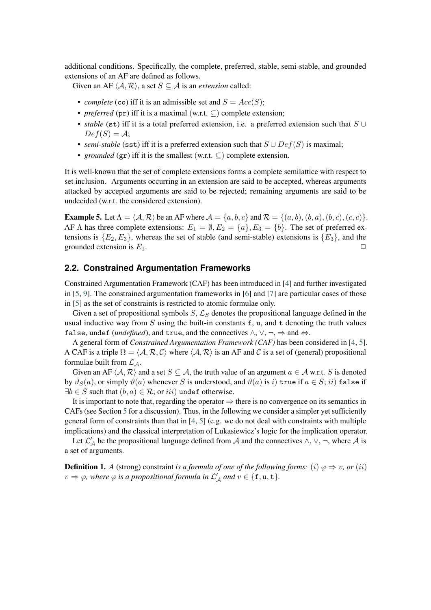additional conditions. Specifically, the complete, preferred, stable, semi-stable, and grounded extensions of an AF are defined as follows.

Given an AF  $\langle A, \mathcal{R} \rangle$ , a set  $S \subseteq A$  is an *extension* called:

- *complete* (co) iff it is an admissible set and  $S = Acc(S);$
- *preferred* (pr) iff it is a maximal (w.r.t. ⊆) complete extension;
- *stable* (st) iff it is a total preferred extension, i.e. a preferred extension such that  $S \cup$  $Def(S) = A;$
- *semi-stable* (sst) iff it is a preferred extension such that  $S \cup Def(S)$  is maximal;
- *grounded* ( $gr$ ) iff it is the smallest (w.r.t.  $\subset$ ) complete extension.

It is well-known that the set of complete extensions forms a complete semilattice with respect to set inclusion. Arguments occurring in an extension are said to be accepted, whereas arguments attacked by accepted arguments are said to be rejected; remaining arguments are said to be undecided (w.r.t. the considered extension).

**Example 5.** Let  $\Lambda = \langle A, \mathcal{R} \rangle$  be an AF where  $\mathcal{A} = \{a, b, c\}$  and  $\mathcal{R} = \{(a, b), (b, a), (b, c), (c, c)\}.$ AF  $\Lambda$  has three complete extensions:  $E_1 = \emptyset, E_2 = \{a\}, E_3 = \{b\}.$  The set of preferred extensions is  $\{E_2, E_3\}$ , whereas the set of stable (and semi-stable) extensions is  $\{E_3\}$ , and the grounded extension is  $E_1$ .

#### <span id="page-3-0"></span>**2.2. Constrained Argumentation Frameworks**

Constrained Argumentation Framework (CAF) has been introduced in [\[4\]](#page-10-0) and further investigated in [\[5,](#page-10-2) [9\]](#page-10-5). The constrained argumentation frameworks in [\[6\]](#page-10-1) and [\[7\]](#page-10-3) are particular cases of those in [\[5\]](#page-10-2) as the set of constraints is restricted to atomic formulae only.

Given a set of propositional symbols  $S, \mathcal{L}_S$  denotes the propositional language defined in the usual inductive way from  $S$  using the built-in constants f, u, and t denoting the truth values false, undef (*undefined*), and true, and the connectives  $\wedge$ ,  $\vee$ ,  $\neg$ ,  $\Rightarrow$  and  $\Leftrightarrow$ .

A general form of *Constrained Argumentation Framework (CAF)* has been considered in [\[4,](#page-10-0) [5\]](#page-10-2). A CAF is a triple  $\Omega = \langle A, \mathcal{R}, C \rangle$  where  $\langle A, \mathcal{R} \rangle$  is an AF and C is a set of (general) propositional formulae built from  $\mathcal{L}_{\mathcal{A}}$ .

Given an AF  $\langle A, \mathcal{R} \rangle$  and a set  $S \subseteq A$ , the truth value of an argument  $a \in A$  w.r.t. S is denoted by  $\vartheta_S(a)$ , or simply  $\vartheta(a)$  whenever S is understood, and  $\vartheta(a)$  is i) true if  $a \in S$ ; ii) false if  $\exists b \in S$  such that  $(b, a) \in R$ ; or *iii*) undef otherwise.

It is important to note that, regarding the operator  $\Rightarrow$  there is no convergence on its semantics in CAFs (see Section [5](#page-7-0) for a discussion). Thus, in the following we consider a simpler yet sufficiently general form of constraints than that in  $[4, 5]$  $[4, 5]$  $[4, 5]$  (e.g. we do not deal with constraints with multiple implications) and the classical interpretation of Lukasiewicz's logic for the implication operator.

Let  $\mathcal{L}'_{\mathcal{A}}$  be the propositional language defined from  $\mathcal{A}$  and the connectives  $\wedge$ ,  $\vee$ ,  $\neg$ , where  $\mathcal{A}$  is a set of arguments.

**Definition 1.** *A* (strong) constraint *is a formula of one of the following forms:* (*i*)  $\varphi \Rightarrow v$ , *or* (*ii*)  $v \Rightarrow \varphi$ , where  $\varphi$  is a propositional formula in  $\mathcal{L}'_{\mathcal{A}}$  and  $v \in \{\texttt{f}, \texttt{u}, \texttt{t}\}.$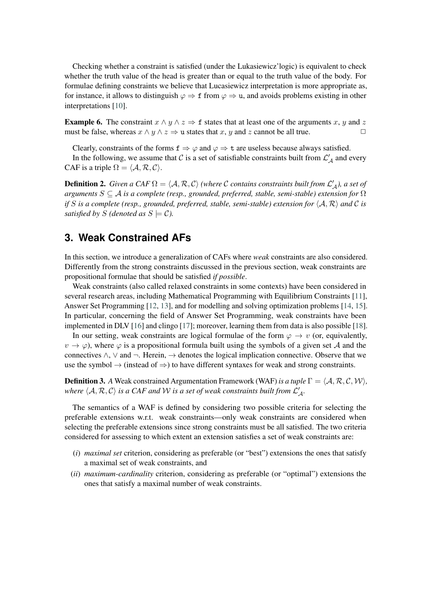Checking whether a constraint is satisfied (under the Lukasiewicz'logic) is equivalent to check whether the truth value of the head is greater than or equal to the truth value of the body. For formulae defining constraints we believe that Lucasiewicz interpretation is more appropriate as, for instance, it allows to distinguish  $\varphi \Rightarrow f$  from  $\varphi \Rightarrow u$ , and avoids problems existing in other interpretations [\[10\]](#page-10-6).

**Example 6.** The constraint  $x \wedge y \wedge z \Rightarrow f$  states that at least one of the arguments x, y and z must be false, whereas  $x \wedge y \wedge z \Rightarrow u$  states that x, y and z cannot be all true.

Clearly, constraints of the forms  $f \Rightarrow \varphi$  and  $\varphi \Rightarrow t$  are useless because always satisfied.

In the following, we assume that C is a set of satisfiable constraints built from  $\mathcal{L}'_{\mathcal{A}}$  and every CAF is a triple  $\Omega = \langle A, \mathcal{R}, C \rangle$ .

**Definition 2.** *Given a CAF*  $\Omega = \langle A, R, C \rangle$  *(where C contains constraints built from*  $\mathcal{L}'_{A}$ *), a set of arguments* ⊆ *is a complete (resp., grounded, preferred, stable, semi-stable) extension for* Ω *if S* is a complete (resp., grounded, preferred, stable, semi-stable) extension for  $\langle A, R \rangle$  and C is *satisfied by S* (*denoted as*  $S \models C$ *).* 

# **3. Weak Constrained AFs**

In this section, we introduce a generalization of CAFs where *weak* constraints are also considered. Differently from the strong constraints discussed in the previous section, weak constraints are propositional formulae that should be satisfied *if possible*.

Weak constraints (also called relaxed constraints in some contexts) have been considered in several research areas, including Mathematical Programming with Equilibrium Constraints [\[11\]](#page-10-7), Answer Set Programming [\[12,](#page-10-8) [13\]](#page-10-9), and for modelling and solving optimization problems [\[14,](#page-10-10) [15\]](#page-10-11). In particular, concerning the field of Answer Set Programming, weak constraints have been implemented in DLV [\[16\]](#page-10-12) and clingo [\[17\]](#page-10-13); moreover, learning them from data is also possible [\[18\]](#page-10-14).

In our setting, weak constraints are logical formulae of the form  $\varphi \to v$  (or, equivalently,  $v \to \varphi$ ), where  $\varphi$  is a propositional formula built using the symbols of a given set A and the connectives  $\land$ ,  $\lor$  and  $\neg$ . Herein,  $\rightarrow$  denotes the logical implication connective. Observe that we use the symbol  $\rightarrow$  (instead of  $\Rightarrow$ ) to have different syntaxes for weak and strong constraints.

**Definition 3.** A Weak constrained Argumentation Framework (WAF) *is a tuple*  $\Gamma = \langle A, R, C, W \rangle$ , where  $\langle A, \mathcal{R}, \mathcal{C} \rangle$  is a CAF and W is a set of weak constraints built from  $\mathcal{L}_{A}'$ .

The semantics of a WAF is defined by considering two possible criteria for selecting the preferable extensions w.r.t. weak constraints—only weak constraints are considered when selecting the preferable extensions since strong constraints must be all satisfied. The two criteria considered for assessing to which extent an extension satisfies a set of weak constraints are:

- (*i*) *maximal set* criterion, considering as preferable (or "best") extensions the ones that satisfy a maximal set of weak constraints, and
- (*ii*) *maximum-cardinality* criterion, considering as preferable (or "optimal") extensions the ones that satisfy a maximal number of weak constraints.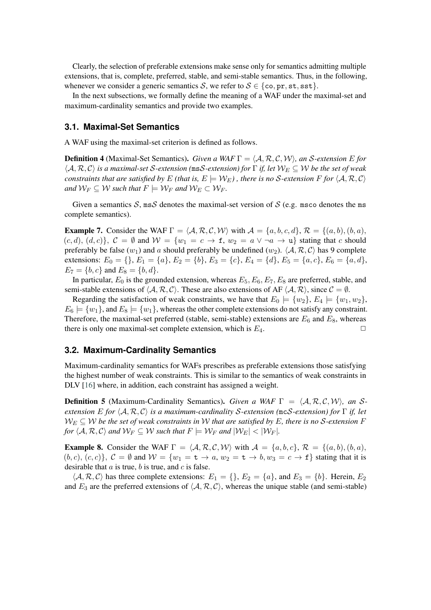Clearly, the selection of preferable extensions make sense only for semantics admitting multiple extensions, that is, complete, preferred, stable, and semi-stable semantics. Thus, in the following, whenever we consider a generic semantics S, we refer to  $S \in \{\text{co}, \text{pr}, \text{st}, \text{sst}\}.$ 

In the next subsections, we formally define the meaning of a WAF under the maximal-set and maximum-cardinality semantics and provide two examples.

#### **3.1. Maximal-Set Semantics**

A WAF using the maximal-set criterion is defined as follows.

**Definition 4** (Maximal-Set Semantics). *Given a WAF*  $\Gamma = \langle A, \mathcal{R}, \mathcal{C}, \mathcal{W} \rangle$ , an *S*-extension *E* for  $\langle A, R, C \rangle$  is a maximal-set *S*-extension (ms*S*-extension) for  $\Gamma$  if, let  $\mathcal{W}_E \subseteq \mathcal{W}$  be the set of weak *constraints that are satisfied by*  $E$  (that is,  $E \models W_E$ ), there is no *S*-extension  $F$  for  $\langle A, R, C \rangle$ *and*  $W_F \subseteq W$  *such that*  $F \models W_F$  *and*  $W_F \subset W_F$ *.* 

Given a semantics  $S$ , ms S denotes the maximal-set version of S (e.g. msco denotes the ms complete semantics).

**Example 7.** Consider the WAF  $\Gamma = \langle A, \mathcal{R}, \mathcal{C}, \mathcal{W} \rangle$  with  $\mathcal{A} = \{a, b, c, d\}, \mathcal{R} = \{(a, b), (b, a),$  $(c, d), (d, c)$ ,  $\mathcal{C} = \emptyset$  and  $\mathcal{W} = \{w_1 = c \to f, w_2 = a \lor \neg a \to u\}$  stating that c should preferably be false  $(w_1)$  and a should preferably be undefined  $(w_2)$ .  $\langle A, R, C \rangle$  has 9 complete extensions:  $E_0 = \{\}, E_1 = \{a\}, E_2 = \{b\}, E_3 = \{c\}, E_4 = \{d\}, E_5 = \{a, c\}, E_6 = \{a, d\},$  $E_7 = \{b, c\}$  and  $E_8 = \{b, d\}.$ 

In particular,  $E_0$  is the grounded extension, whereas  $E_5$ ,  $E_6$ ,  $E_7$ ,  $E_8$  are preferred, stable, and semi-stable extensions of  $\langle A, \mathcal{R}, C \rangle$ . These are also extensions of AF  $\langle A, \mathcal{R} \rangle$ , since  $\mathcal{C} = \emptyset$ .

Regarding the satisfaction of weak constraints, we have that  $E_0 = \{w_2\}$ ,  $E_4 = \{w_1, w_2\}$ ,  $E_6 \models \{w_1\}$ , and  $E_8 \models \{w_1\}$ , whereas the other complete extensions do not satisfy any constraint. Therefore, the maximal-set preferred (stable, semi-stable) extensions are  $E_6$  and  $E_8$ , whereas there is only one maximal-set complete extension, which is  $E_4$ .

#### **3.2. Maximum-Cardinality Semantics**

Maximum-cardinality semantics for WAFs prescribes as preferable extensions those satisfying the highest number of weak constraints. This is similar to the semantics of weak constraints in DLV [\[16\]](#page-10-12) where, in addition, each constraint has assigned a weight.

**Definition 5** (Maximum-Cardinality Semantics). *Given a WAF*  $\Gamma = \langle A, \mathcal{R}, C, \mathcal{W} \rangle$ , an *Sextension E* for  $\langle A, \mathcal{R}, C \rangle$  *is a maximum-cardinality S-extension* (mc*S-extension)* for Γ *if, let*  $W_E \subseteq W$  be the set of weak constraints in W that are satisfied by E, there is no S-extension F *for*  $\langle A, R, C \rangle$  *and*  $W_F \subseteq W$  *such that*  $F \models W_F$  *and*  $|W_E| < |W_F|$ *.* 

**Example 8.** Consider the WAF  $\Gamma = \langle A, \mathcal{R}, \mathcal{C}, \mathcal{W} \rangle$  with  $\mathcal{A} = \{a, b, c\}$ ,  $\mathcal{R} = \{(a, b), (b, a),$  $(0, c), (c, c)$ ,  $\mathcal{C} = \emptyset$  and  $\mathcal{W} = \{w_1 = \mathbf{t} \to a, w_2 = \mathbf{t} \to b, w_3 = c \to \mathbf{f}\}\$  stating that it is desirable that  $a$  is true,  $b$  is true, and  $c$  is false.

 $\langle A, R, C \rangle$  has three complete extensions:  $E_1 = \{\}, E_2 = \{a\}, \text{ and } E_3 = \{b\}.$  Herein,  $E_2$ and  $E_3$  are the preferred extensions of  $\langle A, R, C \rangle$ , whereas the unique stable (and semi-stable)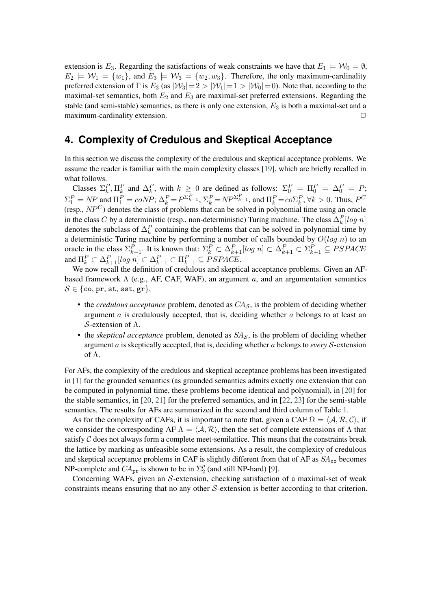extension is  $E_3$ . Regarding the satisfactions of weak constraints we have that  $E_1 \models W_0 = \emptyset$ ,  $E_2 \models \mathcal{W}_1 = \{w_1\}$ , and  $E_3 \models \mathcal{W}_3 = \{w_2, w_3\}$ . Therefore, the only maximum-cardinality preferred extension of Γ is  $E_3$  (as  $|W_3| = 2 > |W_1| = 1 > |W_0| = 0$ ). Note that, according to the maximal-set semantics, both  $E_2$  and  $E_3$  are maximal-set preferred extensions. Regarding the stable (and semi-stable) semantics, as there is only one extension,  $E_3$  is both a maximal-set and a maximum-cardinality extension. □

# **4. Complexity of Credulous and Skeptical Acceptance**

In this section we discuss the complexity of the credulous and skeptical acceptance problems. We assume the reader is familiar with the main complexity classes [\[19\]](#page-10-15), which are briefly recalled in what follows.

Classes  $\Sigma_k^P$ ,  $\Pi_k^P$  and  $\Delta_k^P$ , with  $k \geq 0$  are defined as follows:  $\Sigma_0^P = \Pi_0^P = \Delta_0^P = P$ ;  $\Sigma_1^P = NP$  and  $\Pi_1^P = coNP$ ;  $\Delta_k^P = P^{\Sigma_{k-1}^P}$ ,  $\Sigma_k^P = NP^{\Sigma_{k-1}^P}$ , and  $\Pi_k^P = co\Sigma_k^P$ ,  $\forall k > 0$ . Thus,  $P^C$ (resp.,  $NP<sup>C</sup>$ ) denotes the class of problems that can be solved in polynomial time using an oracle in the class C by a deterministic (resp., non-deterministic) Turing machine. The class  $\Delta_k^P[log\ n]$ denotes the subclass of  $\Delta_k^P$  containing the problems that can be solved in polynomial time by a deterministic Turing machine by performing a number of calls bounded by  $O(log n)$  to an oracle in the class  $\Sigma_{k-1}^P$ . It is known that:  $\Sigma_k^P \subset \Delta_{k+1}^P[\log n] \subset \Delta_{k+1}^P \subset \Sigma_{k+1}^P \subseteq PSPACE$ and  $\Pi_k^P \subset \Delta_{k+1}^P[\log n] \subset \Delta_{k+1}^P \subset \Pi_{k+1}^P \subseteq PSPACE.$ 

We now recall the definition of credulous and skeptical acceptance problems. Given an AFbased framework  $\Lambda$  (e.g., AF, CAF, WAF), an argument a, and an argumentation semantics  $S \in \{\text{co}, \text{pr}, \text{st}, \text{sst}, \text{gr}\},\$ 

- $\bullet$  the *credulous acceptance* problem, denoted as  $CA_{\mathcal{S}}$ , is the problem of deciding whether argument  $\alpha$  is credulously accepted, that is, deciding whether  $\alpha$  belongs to at least an  $S$ -extension of  $Λ$ .
- the *skeptical acceptance* problem, denoted as  $SA<sub>S</sub>$ , is the problem of deciding whether argument  $\alpha$  is skeptically accepted, that is, deciding whether  $\alpha$  belongs to *every*  $S$ -extension of Λ.

For AFs, the complexity of the credulous and skeptical acceptance problems has been investigated in [\[1\]](#page-9-0) for the grounded semantics (as grounded semantics admits exactly one extension that can be computed in polynomial time, these problems become identical and polynomial), in [\[20\]](#page-10-16) for the stable semantics, in [\[20,](#page-10-16) [21\]](#page-10-17) for the preferred semantics, and in [\[22,](#page-10-18) [23\]](#page-11-0) for the semi-stable semantics. The results for AFs are summarized in the second and third column of Table [1.](#page-7-1)

As for the complexity of CAFs, it is important to note that, given a CAF  $\Omega = \langle A, \mathcal{R}, C \rangle$ , if we consider the corresponding AF  $\Lambda = \langle A, \mathcal{R} \rangle$ , then the set of complete extensions of  $\Lambda$  that satisfy  $C$  does not always form a complete meet-semilattice. This means that the constraints break the lattice by marking as unfeasible some extensions. As a result, the complexity of credulous and skeptical acceptance problems in CAF is slightly different from that of AF as  $SA_{\text{co}}$  becomes NP-complete and  $CA_{pr}$  is shown to be in  $\Sigma_2^p$  $_2^p$  (and still NP-hard) [\[9\]](#page-10-5).

Concerning WAFs, given an  $S$ -extension, checking satisfaction of a maximal-set of weak constraints means ensuring that no any other  $S$ -extension is better according to that criterion.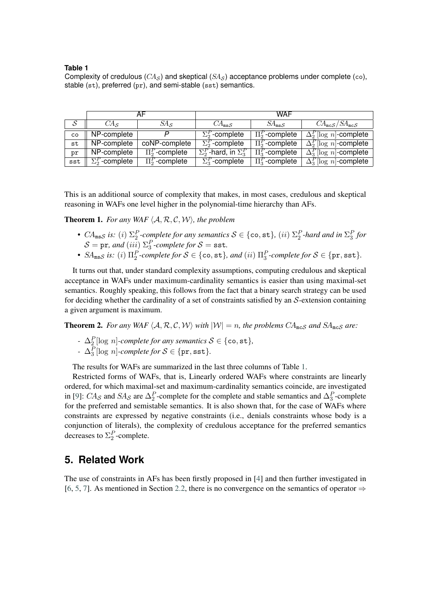#### <span id="page-7-1"></span>**Table 1**

Complexity of credulous  $(CA<sub>S</sub>)$  and skeptical  $(SA<sub>S</sub>)$  acceptance problems under complete (co), stable (st), preferred (pr), and semi-stable (sst) semantics.

|     |                        |                     | <b>WAF</b>                          |                     |                               |
|-----|------------------------|---------------------|-------------------------------------|---------------------|-------------------------------|
| -S  | $C\!A_S$               | $SA_{S}$            | $CA_{\text{ms}}S$                   | $SA_{\text{ms}}S$   | $CA_{mcS}/SA_{mcS}$           |
| co  | NP-complete            |                     | $\Sigma_2^P$ -complete              | $\Pi_2^P$ -complete | $\Delta_2^P$ [log n]-complete |
| st  | NP-complete            | coNP-complete       | $\Sigma_2^P$ -complete              | $\Pi_2^P$ -complete | $\Delta_2^P$ [log n]-complete |
| pr  | NP-complete            | $\Pi_2^P$ -complete | $\Sigma_2^P$ -hard, in $\Sigma_3^P$ | $\Pi_3^P$ -complete | $\Delta_3^P$ [log n]-complete |
| sst | $\Sigma_2^P$ -complete | $\Pi_2^P$ -complete | $\Sigma_3^P$ -complete              | $\Pi_3^P$ -complete | $\Delta_3^P$ [log n]-complete |

This is an additional source of complexity that makes, in most cases, credulous and skeptical reasoning in WAFs one level higher in the polynomial-time hierarchy than AFs.

**Theorem 1.** For any WAF  $\langle A, R, C, W \rangle$ , the problem

- $CA_{\text{ms}}S$  is: (i)  $\Sigma_2^P$ -complete for any semantics  $S \in \{\text{co}, \text{st}\},\ (ii)$   $\Sigma_2^P$ -hard and in  $\Sigma_3^P$  for  $S = \texttt{pr}$ *, and*  $(iii)$   $\Sigma_3^P$ *-complete for*  $S = \texttt{sst}$ *.*
- $SA_{\text{ms}}$ *s* is: (i)  $\Pi_2^P$ -complete for  $S \in \{\text{co}, \text{st}\}\$ , and (ii)  $\Pi_3^P$ -complete for  $S \in \{\text{pr}, \text{sst}\}\$ .

It turns out that, under standard complexity assumptions, computing credulous and skeptical acceptance in WAFs under maximum-cardinality semantics is easier than using maximal-set semantics. Roughly speaking, this follows from the fact that a binary search strategy can be used for deciding whether the cardinality of a set of constraints satisfied by an  $S$ -extension containing a given argument is maximum.

**Theorem 2.** For any WAF  $\langle A, \mathcal{R}, \mathcal{C}, \mathcal{W} \rangle$  with  $|\mathcal{W}| = n$ , the problems  $CA_{\text{mcS}}$  and  $SA_{\text{mcS}}$  are:

- *-*  $\Delta_2^P$ [log n]*-complete for any semantics*  $S \in \{\texttt{co}, \texttt{st}\},\$
- *-*  $\Delta_3^P$ [log *n*]*-complete for*  $S \in \{pr, \texttt{sst}\}.$

The results for WAFs are summarized in the last three columns of Table [1.](#page-7-1)

Restricted forms of WAFs, that is, Linearly ordered WAFs where constraints are linearly ordered, for which maximal-set and maximum-cardinality semantics coincide, are investigated in [\[9\]](#page-10-5):  $CA_{\mathcal{S}}$  and  $SA_{\mathcal{S}}$  are  $\Delta_2^P$ -complete for the complete and stable semantics and  $\Delta_3^P$ -complete for the preferred and semistable semantics. It is also shown that, for the case of WAFs where constraints are expressed by negative constraints (i.e., denials constraints whose body is a conjunction of literals), the complexity of credulous acceptance for the preferred semantics decreases to  $\Sigma_2^P$ -complete.

### <span id="page-7-0"></span>**5. Related Work**

The use of constraints in AFs has been firstly proposed in [\[4\]](#page-10-0) and then further investigated in [\[6,](#page-10-1) [5,](#page-10-2) [7\]](#page-10-3). As mentioned in Section [2.2,](#page-3-0) there is no convergence on the semantics of operator  $\Rightarrow$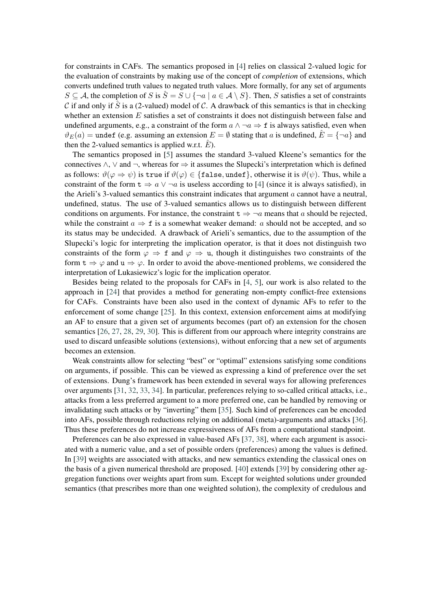for constraints in CAFs. The semantics proposed in [\[4\]](#page-10-0) relies on classical 2-valued logic for the evaluation of constraints by making use of the concept of *completion* of extensions, which converts undefined truth values to negated truth values. More formally, for any set of arguments  $S \subseteq A$ , the completion of S is  $\hat{S} = S \cup \{\neg a \mid a \in A \setminus S\}$ . Then, S satisfies a set of constraints  $\mathcal C$  if and only if  $\hat S$  is a (2-valued) model of  $\mathcal C$ . A drawback of this semantics is that in checking whether an extension  $E$  satisfies a set of constraints it does not distinguish between false and undefined arguments, e.g., a constraint of the form  $a \wedge \neg a \Rightarrow f$  is always satisfied, even when  $\vartheta_E(a) =$  undef (e.g. assuming an extension  $E = \emptyset$  stating that a is undefined,  $\hat{E} = \{\neg a\}$  and then the 2-valued semantics is applied w.r.t.  $E$ ).

The semantics proposed in [\[5\]](#page-10-2) assumes the standard 3-valued Kleene's semantics for the connectives  $\land$ ,  $\lor$  and  $\neg$ , whereas for  $\Rightarrow$  it assumes the Slupecki's interpretation which is defined as follows:  $\vartheta(\varphi \Rightarrow \psi)$  is true if  $\vartheta(\varphi) \in \{\text{false}, \text{under}\},$  otherwise it is  $\vartheta(\psi)$ . Thus, while a constraint of the form  $t \Rightarrow a \vee \neg a$  is useless according to [\[4\]](#page-10-0) (since it is always satisfied), in the Arieli's 3-valued semantics this constraint indicates that argument  $\alpha$  cannot have a neutral, undefined, status. The use of 3-valued semantics allows us to distinguish between different conditions on arguments. For instance, the constraint  $t \Rightarrow \neg a$  means that a should be rejected, while the constraint  $a \Rightarrow f$  is a somewhat weaker demand: a should not be accepted, and so its status may be undecided. A drawback of Arieli's semantics, due to the assumption of the Slupecki's logic for interpreting the implication operator, is that it does not distinguish two constraints of the form  $\varphi \Rightarrow f$  and  $\varphi \Rightarrow u$ , though it distinguishes two constraints of the form  $t \Rightarrow \varphi$  and  $u \Rightarrow \varphi$ . In order to avoid the above-mentioned problems, we considered the interpretation of Lukasiewicz's logic for the implication operator.

Besides being related to the proposals for CAFs in [\[4,](#page-10-0) [5\]](#page-10-2), our work is also related to the approach in [\[24\]](#page-11-1) that provides a method for generating non-empty conflict-free extensions for CAFs. Constraints have been also used in the context of dynamic AFs to refer to the enforcement of some change [\[25\]](#page-11-2). In this context, extension enforcement aims at modifying an AF to ensure that a given set of arguments becomes (part of) an extension for the chosen semantics [\[26,](#page-11-3) [27,](#page-11-4) [28,](#page-11-5) [29,](#page-11-6) [30\]](#page-11-7). This is different from our approach where integrity constrains are used to discard unfeasible solutions (extensions), without enforcing that a new set of arguments becomes an extension.

Weak constraints allow for selecting "best" or "optimal" extensions satisfying some conditions on arguments, if possible. This can be viewed as expressing a kind of preference over the set of extensions. Dung's framework has been extended in several ways for allowing preferences over arguments [\[31,](#page-11-8) [32,](#page-11-9) [33,](#page-11-10) [34\]](#page-11-11). In particular, preferences relying to so-called critical attacks, i.e., attacks from a less preferred argument to a more preferred one, can be handled by removing or invalidating such attacks or by "inverting" them [\[35\]](#page-11-12). Such kind of preferences can be encoded into AFs, possible through reductions relying on additional (meta)-arguments and attacks [\[36\]](#page-11-13). Thus these preferences do not increase expressiveness of AFs from a computational standpoint.

Preferences can be also expressed in value-based AFs [\[37,](#page-11-14) [38\]](#page-11-15), where each argument is associated with a numeric value, and a set of possible orders (preferences) among the values is defined. In [\[39\]](#page-11-16) weights are associated with attacks, and new semantics extending the classical ones on the basis of a given numerical threshold are proposed. [\[40\]](#page-11-17) extends [\[39\]](#page-11-16) by considering other aggregation functions over weights apart from sum. Except for weighted solutions under grounded semantics (that prescribes more than one weighted solution), the complexity of credulous and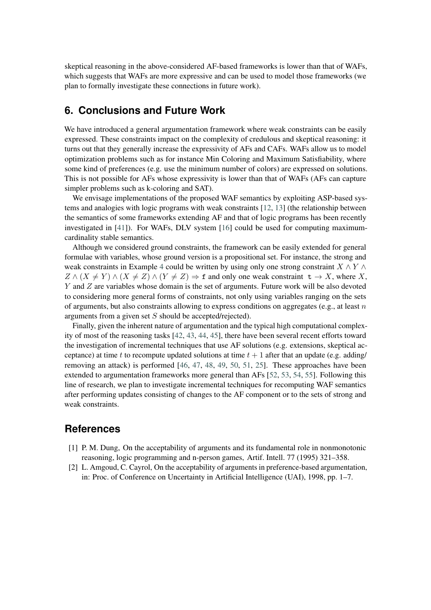skeptical reasoning in the above-considered AF-based frameworks is lower than that of WAFs, which suggests that WAFs are more expressive and can be used to model those frameworks (we plan to formally investigate these connections in future work).

# **6. Conclusions and Future Work**

We have introduced a general argumentation framework where weak constraints can be easily expressed. These constraints impact on the complexity of credulous and skeptical reasoning: it turns out that they generally increase the expressivity of AFs and CAFs. WAFs allow us to model optimization problems such as for instance Min Coloring and Maximum Satisfiability, where some kind of preferences (e.g. use the minimum number of colors) are expressed on solutions. This is not possible for AFs whose expressivity is lower than that of WAFs (AFs can capture simpler problems such as k-coloring and SAT).

We envisage implementations of the proposed WAF semantics by exploiting ASP-based systems and analogies with logic programs with weak constraints [\[12,](#page-10-8) [13\]](#page-10-9) (the relationship between the semantics of some frameworks extending AF and that of logic programs has been recently investigated in [\[41\]](#page-12-0)). For WAFs, DLV system [\[16\]](#page-10-12) could be used for computing maximumcardinality stable semantics.

Although we considered ground constraints, the framework can be easily extended for general formulae with variables, whose ground version is a propositional set. For instance, the strong and weak constraints in Example [4](#page-2-0) could be written by using only one strong constraint  $X \wedge Y \wedge Y$  $Z \wedge (X \neq Y) \wedge (X \neq Z) \wedge (Y \neq Z) \Rightarrow$  f and only one weak constraint  $\tau \to X$ , where X,  $Y$  and  $Z$  are variables whose domain is the set of arguments. Future work will be also devoted to considering more general forms of constraints, not only using variables ranging on the sets of arguments, but also constraints allowing to express conditions on aggregates (e.g., at least  $n$ ) arguments from a given set  $S$  should be accepted/rejected).

Finally, given the inherent nature of argumentation and the typical high computational complexity of most of the reasoning tasks [\[42,](#page-12-1) [43,](#page-12-2) [44,](#page-12-3) [45\]](#page-12-4), there have been several recent efforts toward the investigation of incremental techniques that use AF solutions (e.g. extensions, skeptical acceptance) at time t to recompute updated solutions at time  $t + 1$  after that an update (e.g. adding) removing an attack) is performed [\[46,](#page-12-5) [47,](#page-12-6) [48,](#page-12-7) [49,](#page-12-8) [50,](#page-12-9) [51,](#page-12-10) [25\]](#page-11-2). These approaches have been extended to argumentation frameworks more general than AFs [\[52,](#page-12-11) [53,](#page-12-12) [54,](#page-12-13) [55\]](#page-12-14). Following this line of research, we plan to investigate incremental techniques for recomputing WAF semantics after performing updates consisting of changes to the AF component or to the sets of strong and weak constraints.

# **References**

- <span id="page-9-0"></span>[1] P. M. Dung, On the acceptability of arguments and its fundamental role in nonmonotonic reasoning, logic programming and n-person games, Artif. Intell. 77 (1995) 321–358.
- [2] L. Amgoud, C. Cayrol, On the acceptability of arguments in preference-based argumentation, in: Proc. of Conference on Uncertainty in Artificial Intelligence (UAI), 1998, pp. 1–7.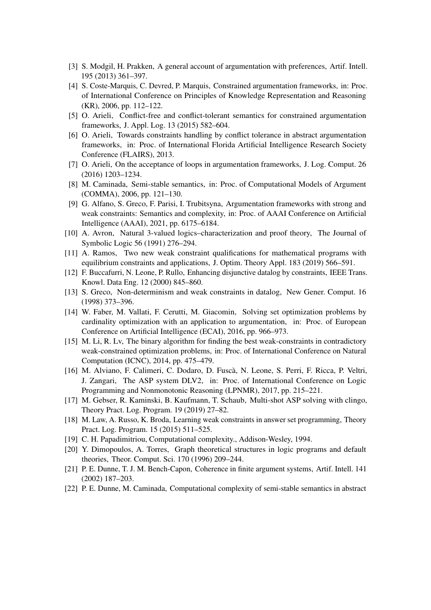- [3] S. Modgil, H. Prakken, A general account of argumentation with preferences, Artif. Intell. 195 (2013) 361–397.
- <span id="page-10-0"></span>[4] S. Coste-Marquis, C. Devred, P. Marquis, Constrained argumentation frameworks, in: Proc. of International Conference on Principles of Knowledge Representation and Reasoning (KR), 2006, pp. 112–122.
- <span id="page-10-2"></span>[5] O. Arieli, Conflict-free and conflict-tolerant semantics for constrained argumentation frameworks, J. Appl. Log. 13 (2015) 582–604.
- <span id="page-10-1"></span>[6] O. Arieli, Towards constraints handling by conflict tolerance in abstract argumentation frameworks, in: Proc. of International Florida Artificial Intelligence Research Society Conference (FLAIRS), 2013.
- <span id="page-10-3"></span>[7] O. Arieli, On the acceptance of loops in argumentation frameworks, J. Log. Comput. 26 (2016) 1203–1234.
- <span id="page-10-4"></span>[8] M. Caminada, Semi-stable semantics, in: Proc. of Computational Models of Argument (COMMA), 2006, pp. 121–130.
- <span id="page-10-5"></span>[9] G. Alfano, S. Greco, F. Parisi, I. Trubitsyna, Argumentation frameworks with strong and weak constraints: Semantics and complexity, in: Proc. of AAAI Conference on Artificial Intelligence (AAAI), 2021, pp. 6175–6184.
- <span id="page-10-6"></span>[10] A. Avron, Natural 3-valued logics–characterization and proof theory, The Journal of Symbolic Logic 56 (1991) 276–294.
- <span id="page-10-7"></span>[11] A. Ramos, Two new weak constraint qualifications for mathematical programs with equilibrium constraints and applications, J. Optim. Theory Appl. 183 (2019) 566–591.
- <span id="page-10-8"></span>[12] F. Buccafurri, N. Leone, P. Rullo, Enhancing disjunctive datalog by constraints, IEEE Trans. Knowl. Data Eng. 12 (2000) 845–860.
- <span id="page-10-9"></span>[13] S. Greco, Non-determinism and weak constraints in datalog, New Gener. Comput. 16 (1998) 373–396.
- <span id="page-10-10"></span>[14] W. Faber, M. Vallati, F. Cerutti, M. Giacomin, Solving set optimization problems by cardinality optimization with an application to argumentation, in: Proc. of European Conference on Artificial Intelligence (ECAI), 2016, pp. 966–973.
- <span id="page-10-11"></span>[15] M. Li, R. Lv, The binary algorithm for finding the best weak-constraints in contradictory weak-constrained optimization problems, in: Proc. of International Conference on Natural Computation (ICNC), 2014, pp. 475–479.
- <span id="page-10-12"></span>[16] M. Alviano, F. Calimeri, C. Dodaro, D. Fuscà, N. Leone, S. Perri, F. Ricca, P. Veltri, J. Zangari, The ASP system DLV2, in: Proc. of International Conference on Logic Programming and Nonmonotonic Reasoning (LPNMR), 2017, pp. 215–221.
- <span id="page-10-13"></span>[17] M. Gebser, R. Kaminski, B. Kaufmann, T. Schaub, Multi-shot ASP solving with clingo, Theory Pract. Log. Program. 19 (2019) 27–82.
- <span id="page-10-14"></span>[18] M. Law, A. Russo, K. Broda, Learning weak constraints in answer set programming, Theory Pract. Log. Program. 15 (2015) 511–525.
- <span id="page-10-15"></span>[19] C. H. Papadimitriou, Computational complexity., Addison-Wesley, 1994.
- <span id="page-10-16"></span>[20] Y. Dimopoulos, A. Torres, Graph theoretical structures in logic programs and default theories, Theor. Comput. Sci. 170 (1996) 209–244.
- <span id="page-10-17"></span>[21] P. E. Dunne, T. J. M. Bench-Capon, Coherence in finite argument systems, Artif. Intell. 141 (2002) 187–203.
- <span id="page-10-18"></span>[22] P. E. Dunne, M. Caminada, Computational complexity of semi-stable semantics in abstract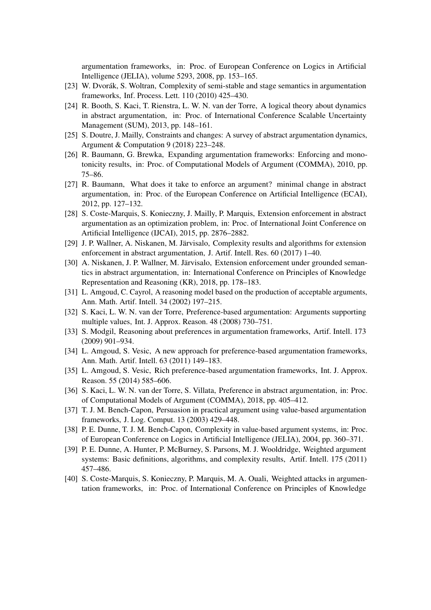argumentation frameworks, in: Proc. of European Conference on Logics in Artificial Intelligence (JELIA), volume 5293, 2008, pp. 153–165.

- <span id="page-11-0"></span>[23] W. Dvorák, S. Woltran, Complexity of semi-stable and stage semantics in argumentation frameworks, Inf. Process. Lett. 110 (2010) 425–430.
- <span id="page-11-1"></span>[24] R. Booth, S. Kaci, T. Rienstra, L. W. N. van der Torre, A logical theory about dynamics in abstract argumentation, in: Proc. of International Conference Scalable Uncertainty Management (SUM), 2013, pp. 148–161.
- <span id="page-11-2"></span>[25] S. Doutre, J. Mailly, Constraints and changes: A survey of abstract argumentation dynamics, Argument & Computation 9 (2018) 223–248.
- <span id="page-11-3"></span>[26] R. Baumann, G. Brewka, Expanding argumentation frameworks: Enforcing and monotonicity results, in: Proc. of Computational Models of Argument (COMMA), 2010, pp. 75–86.
- <span id="page-11-4"></span>[27] R. Baumann, What does it take to enforce an argument? minimal change in abstract argumentation, in: Proc. of the European Conference on Artificial Intelligence (ECAI), 2012, pp. 127–132.
- <span id="page-11-5"></span>[28] S. Coste-Marquis, S. Konieczny, J. Mailly, P. Marquis, Extension enforcement in abstract argumentation as an optimization problem, in: Proc. of International Joint Conference on Artificial Intelligence (IJCAI), 2015, pp. 2876–2882.
- <span id="page-11-6"></span>[29] J. P. Wallner, A. Niskanen, M. Järvisalo, Complexity results and algorithms for extension enforcement in abstract argumentation, J. Artif. Intell. Res. 60 (2017) 1–40.
- <span id="page-11-7"></span>[30] A. Niskanen, J. P. Wallner, M. Järvisalo, Extension enforcement under grounded semantics in abstract argumentation, in: International Conference on Principles of Knowledge Representation and Reasoning (KR), 2018, pp. 178–183.
- <span id="page-11-8"></span>[31] L. Amgoud, C. Cayrol, A reasoning model based on the production of acceptable arguments, Ann. Math. Artif. Intell. 34 (2002) 197–215.
- <span id="page-11-9"></span>[32] S. Kaci, L. W. N. van der Torre, Preference-based argumentation: Arguments supporting multiple values, Int. J. Approx. Reason. 48 (2008) 730–751.
- <span id="page-11-10"></span>[33] S. Modgil, Reasoning about preferences in argumentation frameworks, Artif. Intell. 173 (2009) 901–934.
- <span id="page-11-11"></span>[34] L. Amgoud, S. Vesic, A new approach for preference-based argumentation frameworks, Ann. Math. Artif. Intell. 63 (2011) 149–183.
- <span id="page-11-12"></span>[35] L. Amgoud, S. Vesic, Rich preference-based argumentation frameworks, Int. J. Approx. Reason. 55 (2014) 585–606.
- <span id="page-11-13"></span>[36] S. Kaci, L. W. N. van der Torre, S. Villata, Preference in abstract argumentation, in: Proc. of Computational Models of Argument (COMMA), 2018, pp. 405–412.
- <span id="page-11-14"></span>[37] T. J. M. Bench-Capon, Persuasion in practical argument using value-based argumentation frameworks, J. Log. Comput. 13 (2003) 429–448.
- <span id="page-11-15"></span>[38] P. E. Dunne, T. J. M. Bench-Capon, Complexity in value-based argument systems, in: Proc. of European Conference on Logics in Artificial Intelligence (JELIA), 2004, pp. 360–371.
- <span id="page-11-16"></span>[39] P. E. Dunne, A. Hunter, P. McBurney, S. Parsons, M. J. Wooldridge, Weighted argument systems: Basic definitions, algorithms, and complexity results, Artif. Intell. 175 (2011) 457–486.
- <span id="page-11-17"></span>[40] S. Coste-Marquis, S. Konieczny, P. Marquis, M. A. Ouali, Weighted attacks in argumentation frameworks, in: Proc. of International Conference on Principles of Knowledge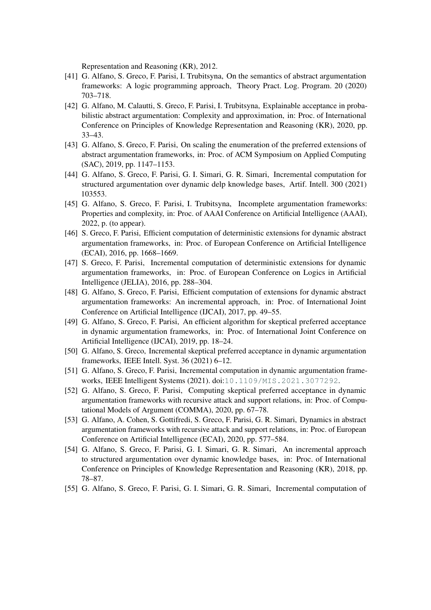Representation and Reasoning (KR), 2012.

- <span id="page-12-0"></span>[41] G. Alfano, S. Greco, F. Parisi, I. Trubitsyna, On the semantics of abstract argumentation frameworks: A logic programming approach, Theory Pract. Log. Program. 20 (2020) 703–718.
- <span id="page-12-1"></span>[42] G. Alfano, M. Calautti, S. Greco, F. Parisi, I. Trubitsyna, Explainable acceptance in probabilistic abstract argumentation: Complexity and approximation, in: Proc. of International Conference on Principles of Knowledge Representation and Reasoning (KR), 2020, pp. 33–43.
- <span id="page-12-2"></span>[43] G. Alfano, S. Greco, F. Parisi, On scaling the enumeration of the preferred extensions of abstract argumentation frameworks, in: Proc. of ACM Symposium on Applied Computing (SAC), 2019, pp. 1147–1153.
- <span id="page-12-3"></span>[44] G. Alfano, S. Greco, F. Parisi, G. I. Simari, G. R. Simari, Incremental computation for structured argumentation over dynamic delp knowledge bases, Artif. Intell. 300 (2021) 103553.
- <span id="page-12-4"></span>[45] G. Alfano, S. Greco, F. Parisi, I. Trubitsyna, Incomplete argumentation frameworks: Properties and complexity, in: Proc. of AAAI Conference on Artificial Intelligence (AAAI), 2022, p. (to appear).
- <span id="page-12-5"></span>[46] S. Greco, F. Parisi, Efficient computation of deterministic extensions for dynamic abstract argumentation frameworks, in: Proc. of European Conference on Artificial Intelligence (ECAI), 2016, pp. 1668–1669.
- <span id="page-12-6"></span>[47] S. Greco, F. Parisi, Incremental computation of deterministic extensions for dynamic argumentation frameworks, in: Proc. of European Conference on Logics in Artificial Intelligence (JELIA), 2016, pp. 288–304.
- <span id="page-12-7"></span>[48] G. Alfano, S. Greco, F. Parisi, Efficient computation of extensions for dynamic abstract argumentation frameworks: An incremental approach, in: Proc. of International Joint Conference on Artificial Intelligence (IJCAI), 2017, pp. 49–55.
- <span id="page-12-8"></span>[49] G. Alfano, S. Greco, F. Parisi, An efficient algorithm for skeptical preferred acceptance in dynamic argumentation frameworks, in: Proc. of International Joint Conference on Artificial Intelligence (IJCAI), 2019, pp. 18–24.
- <span id="page-12-9"></span>[50] G. Alfano, S. Greco, Incremental skeptical preferred acceptance in dynamic argumentation frameworks, IEEE Intell. Syst. 36 (2021) 6–12.
- <span id="page-12-10"></span>[51] G. Alfano, S. Greco, F. Parisi, Incremental computation in dynamic argumentation frameworks, IEEE Intelligent Systems (2021). doi:[10.1109/MIS.2021.3077292](http://dx.doi.org/10.1109/MIS.2021.3077292).
- <span id="page-12-11"></span>[52] G. Alfano, S. Greco, F. Parisi, Computing skeptical preferred acceptance in dynamic argumentation frameworks with recursive attack and support relations, in: Proc. of Computational Models of Argument (COMMA), 2020, pp. 67–78.
- <span id="page-12-12"></span>[53] G. Alfano, A. Cohen, S. Gottifredi, S. Greco, F. Parisi, G. R. Simari, Dynamics in abstract argumentation frameworks with recursive attack and support relations, in: Proc. of European Conference on Artificial Intelligence (ECAI), 2020, pp. 577–584.
- <span id="page-12-13"></span>[54] G. Alfano, S. Greco, F. Parisi, G. I. Simari, G. R. Simari, An incremental approach to structured argumentation over dynamic knowledge bases, in: Proc. of International Conference on Principles of Knowledge Representation and Reasoning (KR), 2018, pp. 78–87.
- <span id="page-12-14"></span>[55] G. Alfano, S. Greco, F. Parisi, G. I. Simari, G. R. Simari, Incremental computation of